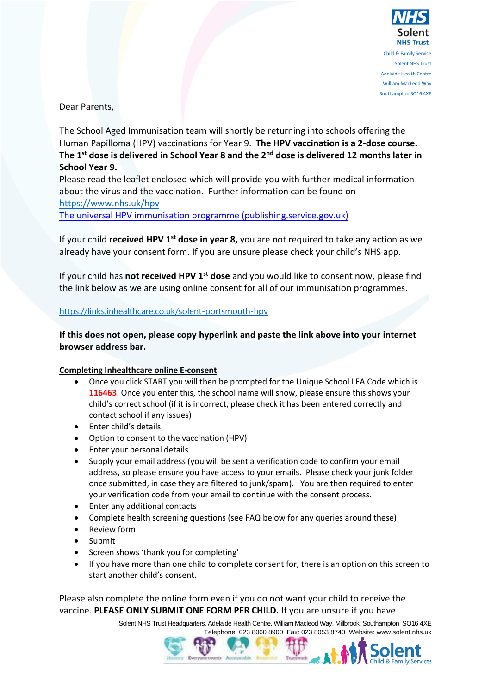

William MacLeod Way Southampton SO16 4XE

Dear Parents,

The School Aged Immunisation team will shortly be returning into schools offering the Human Papilloma (HPV) vaccinations for Year 9. **The HPV vaccination is a 2-dose course. The 1st dose is delivered in School Year 8 and the 2nd dose is delivered 12 months later in School Year 9.**

Please read the leaflet enclosed which will provide you with further medical information about the virus and the vaccination. Further information can be found on <https://www.nhs.uk/hpv>

[The universal HPV immunisation programme \(publishing.service.gov.uk\)](https://assets.publishing.service.gov.uk/government/uploads/system/uploads/attachment_data/file/1013192/PHE_12082_HPV_vaccination_leaflet_2021.pdf)

If your child **received HPV 1 st dose in year 8,** you are not required to take any action as we already have your consent form. If you are unsure please check your child's NHS app.

If your child has **not received HPV 1st dose** and you would like to consent now, please find the link below as we are using online consent for all of our immunisation programmes.

## <https://links.inhealthcare.co.uk/solent-portsmouth-hpv>

**If this does not open, please copy hyperlink and paste the link above into your internet browser address bar.** 

## **Completing Inhealthcare online E-consent**

- Once you click START you will then be prompted for the Unique School LEA Code which is **116463**. Once you enter this, the school name will show, please ensure this shows your child's correct school (if it is incorrect, please check it has been entered correctly and contact school if any issues)
- Enter child's details
- Option to consent to the vaccination (HPV)
- Enter your personal details
- Supply your email address (you will be sent a verification code to confirm your email address, so please ensure you have access to your emails. Please check your junk folder once submitted, in case they are filtered to junk/spam). You are then required to enter your verification code from your email to continue with the consent process.
- Enter any additional contacts
- Complete health screening questions (see FAQ below for any queries around these)
- Review form
- Submit
- Screen shows 'thank you for completing'
- If you have more than one child to complete consent for, there is an option on this screen to start another child's consent.

Please also complete the online form even if you do not want your child to receive the vaccine. **PLEASE ONLY SUBMIT ONE FORM PER CHILD.** If you are unsure if you have

Solent NHS Trust Headquarters, Adelaide Health Centre, William Macleod Way, Millbrook, Southampton SO16 4XE